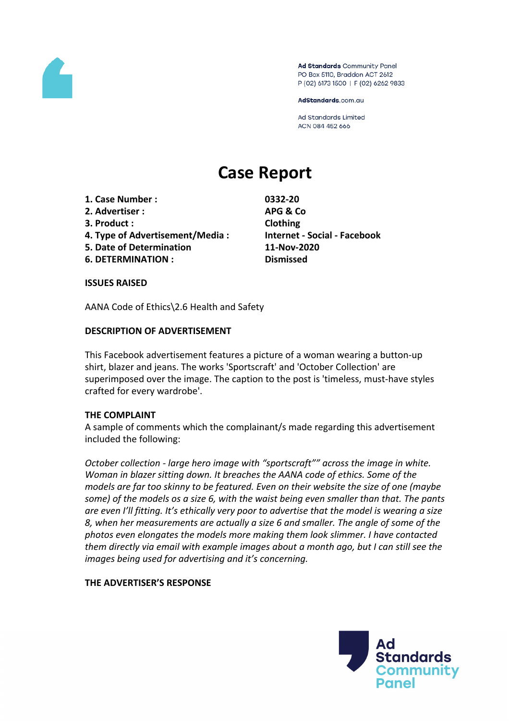

Ad Standards Community Panel PO Box 5110, Braddon ACT 2612 P (02) 6173 1500 | F (02) 6262 9833

AdStandards.com.au

**Ad Standards Limited** ACN 084 452 666

# **Case Report**

- **1. Case Number : 0332-20**
- **2. Advertiser : APG & Co**
- **3. Product : Clothing**
- **4. Type of Advertisement/Media : Internet - Social - Facebook**
- **5. Date of Determination 11-Nov-2020**
- **6. DETERMINATION : Dismissed**

## **ISSUES RAISED**

AANA Code of Ethics\2.6 Health and Safety

## **DESCRIPTION OF ADVERTISEMENT**

This Facebook advertisement features a picture of a woman wearing a button-up shirt, blazer and jeans. The works 'Sportscraft' and 'October Collection' are superimposed over the image. The caption to the post is 'timeless, must-have styles crafted for every wardrobe'.

## **THE COMPLAINT**

A sample of comments which the complainant/s made regarding this advertisement included the following:

*October collection - large hero image with "sportscraft"" across the image in white. Woman in blazer sitting down. It breaches the AANA code of ethics. Some of the models are far too skinny to be featured. Even on their website the size of one (maybe some) of the models os a size 6, with the waist being even smaller than that. The pants are even I'll fitting. It's ethically very poor to advertise that the model is wearing a size 8, when her measurements are actually a size 6 and smaller. The angle of some of the photos even elongates the models more making them look slimmer. I have contacted them directly via email with example images about a month ago, but I can still see the images being used for advertising and it's concerning.*

## **THE ADVERTISER'S RESPONSE**

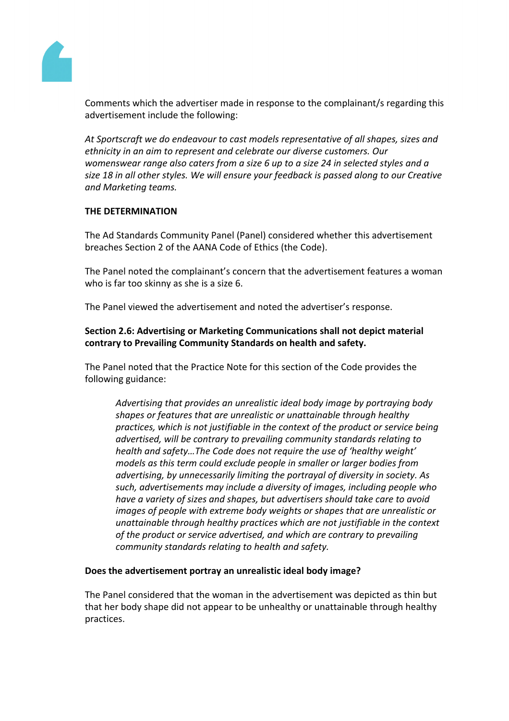

Comments which the advertiser made in response to the complainant/s regarding this advertisement include the following:

*At Sportscraft we do endeavour to cast models representative of all shapes, sizes and ethnicity in an aim to represent and celebrate our diverse customers. Our womenswear range also caters from a size 6 up to a size 24 in selected styles and a size 18 in all other styles. We will ensure your feedback is passed along to our Creative and Marketing teams.*

## **THE DETERMINATION**

The Ad Standards Community Panel (Panel) considered whether this advertisement breaches Section 2 of the AANA Code of Ethics (the Code).

The Panel noted the complainant's concern that the advertisement features a woman who is far too skinny as she is a size 6.

The Panel viewed the advertisement and noted the advertiser's response.

**Section 2.6: Advertising or Marketing Communications shall not depict material contrary to Prevailing Community Standards on health and safety.**

The Panel noted that the Practice Note for this section of the Code provides the following guidance:

*Advertising that provides an unrealistic ideal body image by portraying body shapes or features that are unrealistic or unattainable through healthy practices, which is not justifiable in the context of the product or service being advertised, will be contrary to prevailing community standards relating to health and safety…The Code does not require the use of 'healthy weight' models as this term could exclude people in smaller or larger bodies from advertising, by unnecessarily limiting the portrayal of diversity in society. As such, advertisements may include a diversity of images, including people who have a variety of sizes and shapes, but advertisers should take care to avoid images of people with extreme body weights or shapes that are unrealistic or unattainable through healthy practices which are not justifiable in the context of the product or service advertised, and which are contrary to prevailing community standards relating to health and safety.*

## **Does the advertisement portray an unrealistic ideal body image?**

The Panel considered that the woman in the advertisement was depicted as thin but that her body shape did not appear to be unhealthy or unattainable through healthy practices.